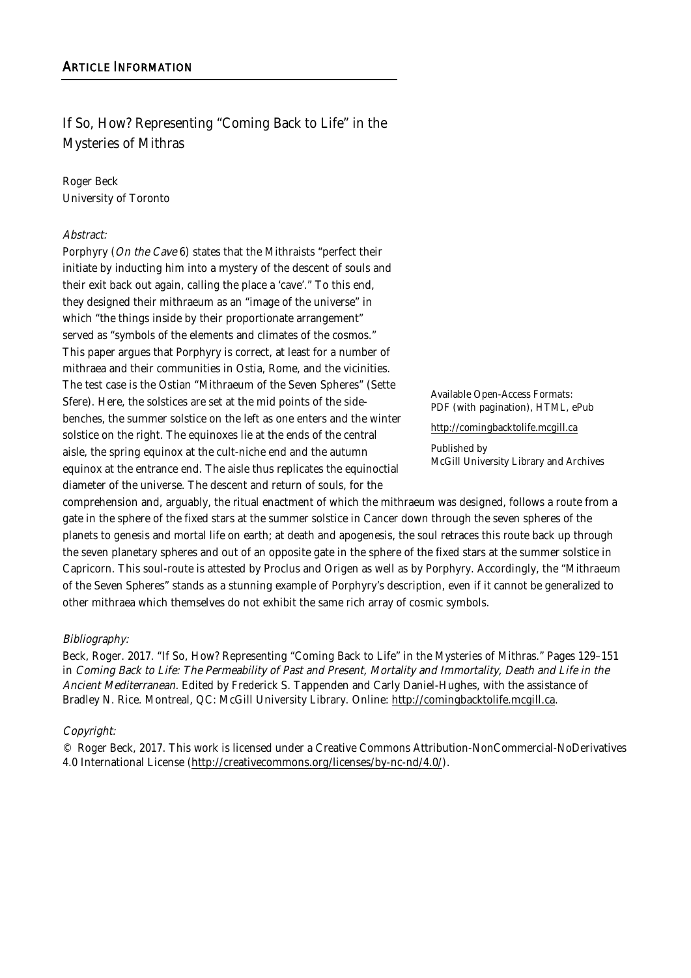### If So, How? Representing "Coming Back to Life" in the Mysteries of Mithras

# Roger Beck

University of Toronto

### Abstract:

Porphyry (On the Cave 6) states that the Mithraists "perfect their initiate by inducting him into a mystery of the descent of souls and their exit back out again, calling the place a 'cave'." To this end, they designed their mithraeum as an "image of the universe" in which "the things inside by their proportionate arrangement" served as "symbols of the elements and climates of the cosmos." This paper argues that Porphyry is correct, at least for a number of mithraea and their communities in Ostia, Rome, and the vicinities. The test case is the Ostian "Mithraeum of the Seven Spheres" (Sette Sfere). Here, the solstices are set at the mid points of the sidebenches, the summer solstice on the left as one enters and the winter solstice on the right. The equinoxes lie at the ends of the central aisle, the spring equinox at the cult-niche end and the autumn equinox at the entrance end. The aisle thus replicates the equinoctial diameter of the universe. The descent and return of souls, for the

Available Open-Access Formats: PDF (with pagination), HTML, ePub

http://comingbacktolife.mcgill.ca

Published by McGill University Library and Archives

comprehension and, arguably, the ritual enactment of which the mithraeum was designed, follows a route from a gate in the sphere of the fixed stars at the summer solstice in Cancer down through the seven spheres of the planets to genesis and mortal life on earth; at death and apogenesis, the soul retraces this route back up through the seven planetary spheres and out of an opposite gate in the sphere of the fixed stars at the summer solstice in Capricorn. This soul-route is attested by Proclus and Origen as well as by Porphyry. Accordingly, the "Mithraeum of the Seven Spheres" stands as a stunning example of Porphyry's description, even if it cannot be generalized to other mithraea which themselves do not exhibit the same rich array of cosmic symbols.

### Bibliography:

Beck, Roger. 2017. "If So, How? Representing "Coming Back to Life" in the Mysteries of Mithras." Pages 129–151 in Coming Back to Life: The Permeability of Past and Present, Mortality and Immortality, Death and Life in the Ancient Mediterranean. Edited by Frederick S. Tappenden and Carly Daniel-Hughes, with the assistance of Bradley N. Rice. Montreal, QC: McGill University Library. Online: http://comingbacktolife.mcgill.ca.

### Copyright:

© Roger Beck, 2017. This work is licensed under a Creative Commons Attribution-NonCommercial-NoDerivatives 4.0 International License (http://creativecommons.org/licenses/by-nc-nd/4.0/).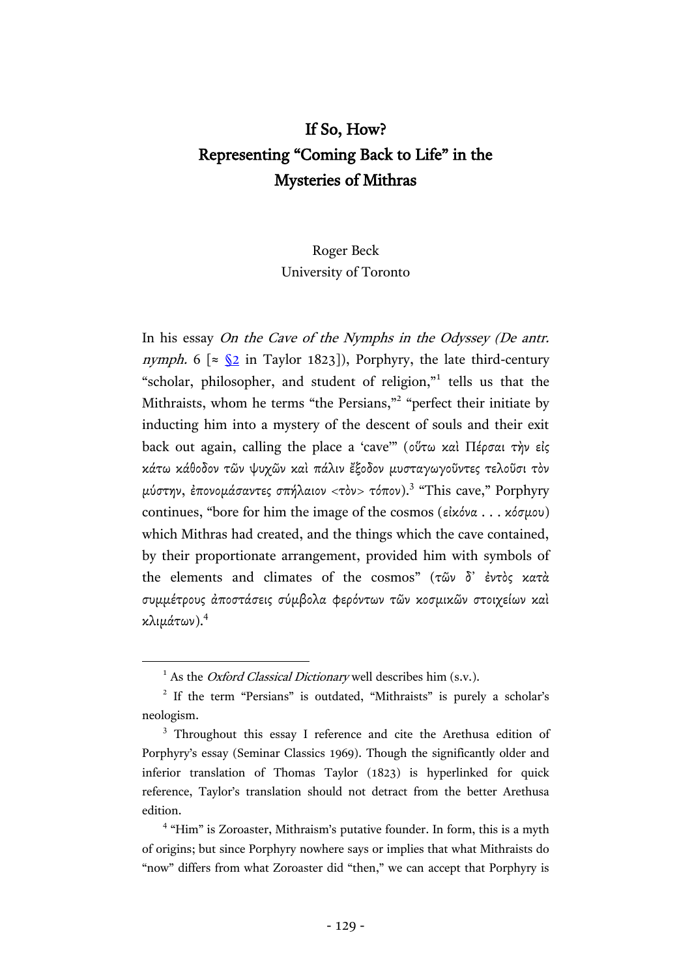# If So, How? Representing "Coming Back to Life" in the Mysteries of Mithras

## Roger Beck University of Toronto

In his essay On the Cave of the Nymphs in the Odyssey (De antr. nymph. 6 [ $\approx$  [§2](http://hdl.handle.net/2027/mdp.39015046819200?urlappend=%3Bseq=197) in Taylor 1823]), Porphyry, the late third-century "scholar, philosopher, and student of religion," tells us that the Mithraists, whom he terms "the Persians,"<sup>2</sup> "perfect their initiate by inducting him into a mystery of the descent of souls and their exit back out again, calling the place a 'cave'" (οὕτω καὶ Πέρσαι τὴν εἰς κάτω κάθοδον τῶν ψυχῶν καὶ πάλιν ἔξοδον μυσταγωγοῦντες τελοῦσι τὸν μύστην, έπονομάσαντες σπήλαιον <τὸν> τόπον).<sup>3</sup> "This cave," Porphyry continues, "bore for him the image of the cosmos (εἰκόνα . . . κόσμου) which Mithras had created, and the things which the cave contained, by their proportionate arrangement, provided him with symbols of the elements and climates of the cosmos" (τῶν δ᾽ ἐντὸς κατὰ συμμέτρους ἀποστάσεις σύμβολα φερόντων τῶν κοσμικῶν στοιχείων καὶ κλιμάτων).4

<sup>&</sup>lt;sup>1</sup> As the *Oxford Classical Dictionary* well describes him  $(s.v.)$ .

<sup>&</sup>lt;sup>2</sup> If the term "Persians" is outdated, "Mithraists" is purely a scholar's neologism.

<sup>&</sup>lt;sup>3</sup> Throughout this essay I reference and cite the Arethusa edition of Porphyry's essay (Seminar Classics 1969). Though the significantly older and inferior translation of Thomas Taylor (1823) is hyperlinked for quick reference, Taylor's translation should not detract from the better Arethusa edition.

<sup>&</sup>lt;sup>4</sup> "Him" is Zoroaster, Mithraism's putative founder. In form, this is a myth of origins; but since Porphyry nowhere says or implies that what Mithraists do "now" differs from what Zoroaster did "then," we can accept that Porphyry is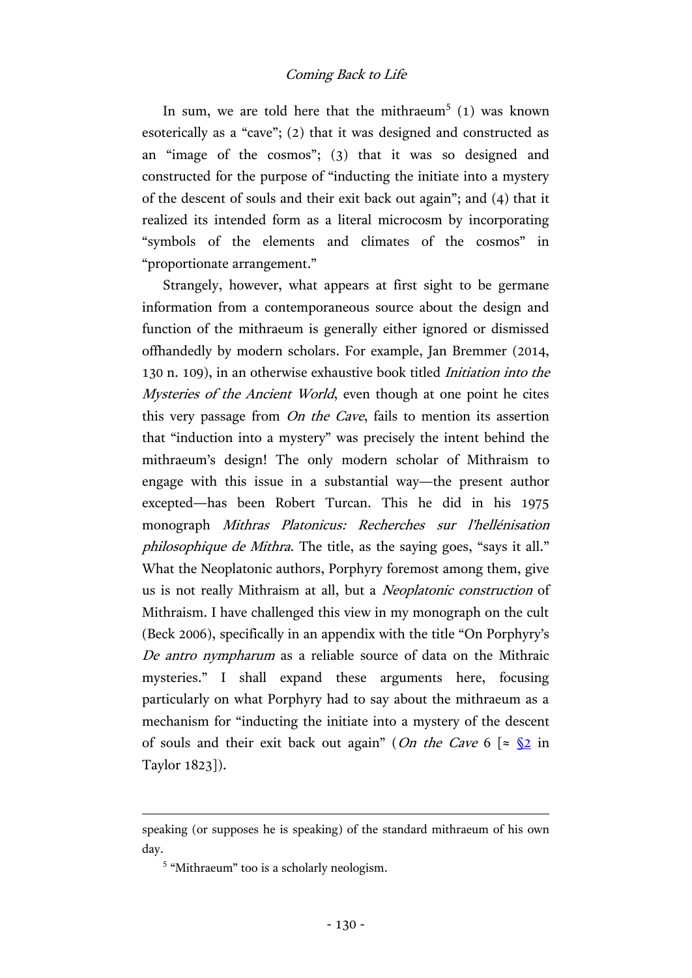In sum, we are told here that the mithraeum<sup>5</sup> (1) was known esoterically as a "cave"; (2) that it was designed and constructed as an "image of the cosmos"; (3) that it was so designed and constructed for the purpose of "inducting the initiate into a mystery of the descent of souls and their exit back out again"; and (4) that it realized its intended form as a literal microcosm by incorporating "symbols of the elements and climates of the cosmos" in "proportionate arrangement."

Strangely, however, what appears at first sight to be germane information from a contemporaneous source about the design and function of the mithraeum is generally either ignored or dismissed offhandedly by modern scholars. For example, Jan Bremmer (2014, 130 n. 109), in an otherwise exhaustive book titled Initiation into the Mysteries of the Ancient World, even though at one point he cites this very passage from On the Cave, fails to mention its assertion that "induction into a mystery" was precisely the intent behind the mithraeum's design! The only modern scholar of Mithraism to engage with this issue in a substantial way—the present author excepted—has been Robert Turcan. This he did in his 1975 monograph Mithras Platonicus: Recherches sur l'hellénisation philosophique de Mithra. The title, as the saying goes, "says it all." What the Neoplatonic authors, Porphyry foremost among them, give us is not really Mithraism at all, but a Neoplatonic construction of Mithraism. I have challenged this view in my monograph on the cult (Beck 2006), specifically in an appendix with the title "On Porphyry's De antro nympharum as a reliable source of data on the Mithraic mysteries." I shall expand these arguments here, focusing particularly on what Porphyry had to say about the mithraeum as a mechanism for "inducting the initiate into a mystery of the descent of souls and their exit back out again" (On the Cave 6  $\lceil \approx \sqrt{2} \rceil$  in Taylor 1823]).

speaking (or supposes he is speaking) of the standard mithraeum of his own day.

<sup>&</sup>lt;sup>5</sup> "Mithraeum" too is a scholarly neologism.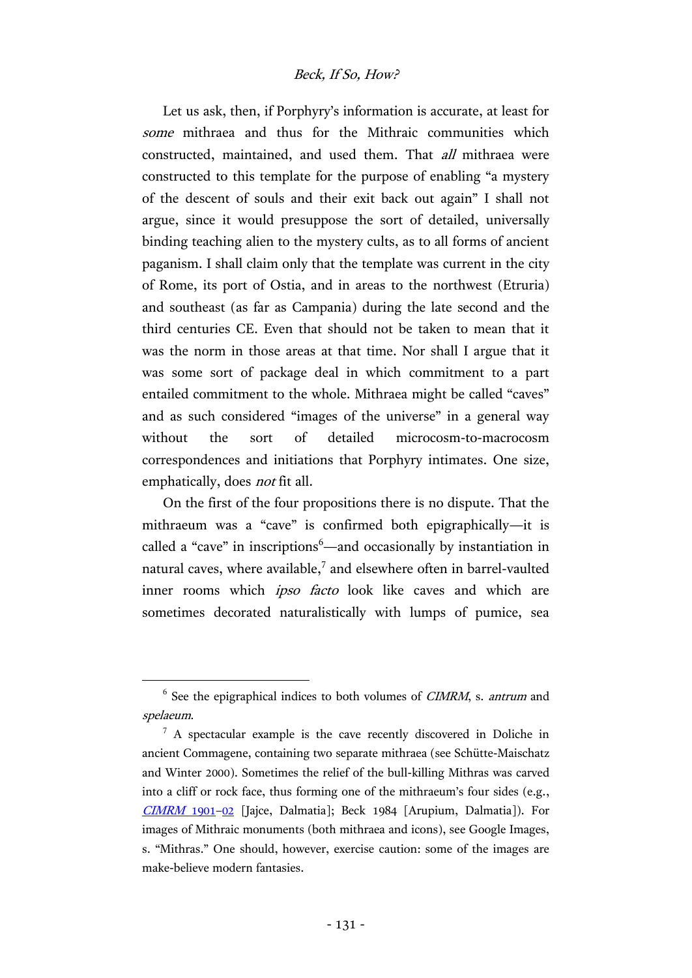### Beck, If So, How?

Let us ask, then, if Porphyry's information is accurate, at least for some mithraea and thus for the Mithraic communities which constructed, maintained, and used them. That all mithraea were constructed to this template for the purpose of enabling "a mystery of the descent of souls and their exit back out again" I shall not argue, since it would presuppose the sort of detailed, universally binding teaching alien to the mystery cults, as to all forms of ancient paganism. I shall claim only that the template was current in the city of Rome, its port of Ostia, and in areas to the northwest (Etruria) and southeast (as far as Campania) during the late second and the third centuries CE. Even that should not be taken to mean that it was the norm in those areas at that time. Nor shall I argue that it was some sort of package deal in which commitment to a part entailed commitment to the whole. Mithraea might be called "caves" and as such considered "images of the universe" in a general way without the sort of detailed microcosm-to-macrocosm correspondences and initiations that Porphyry intimates. One size, emphatically, does *not* fit all.

On the first of the four propositions there is no dispute. That the mithraeum was a "cave" is confirmed both epigraphically—it is called a "cave" in inscriptions<sup>6</sup>—and occasionally by instantiation in natural caves, where available, $<sup>7</sup>$  and elsewhere often in barrel-vaulted</sup> inner rooms which ipso facto look like caves and which are sometimes decorated naturalistically with lumps of pumice, sea

 $6$  See the epigraphical indices to both volumes of *CIMRM*, s. *antrum* and spelaeum.

 $7 A$  spectacular example is the cave recently discovered in Doliche in ancient Commagene, containing two separate mithraea (see Schütte-Maischatz and Winter 2000). Sometimes the relief of the bull-killing Mithras was carved into a cliff or rock face, thus forming one of the mithraeum's four sides (e.g., [CIMRM](http://www.roger-pearse.com/mithras/display.php?page=cimrm1901) 1901–[02](http://www.roger-pearse.com/mithras/display.php?page=cimrm1902) [Jajce, Dalmatia]; Beck 1984 [Arupium, Dalmatia]). For images of Mithraic monuments (both mithraea and icons), see Google Images, s. "Mithras." One should, however, exercise caution: some of the images are make-believe modern fantasies.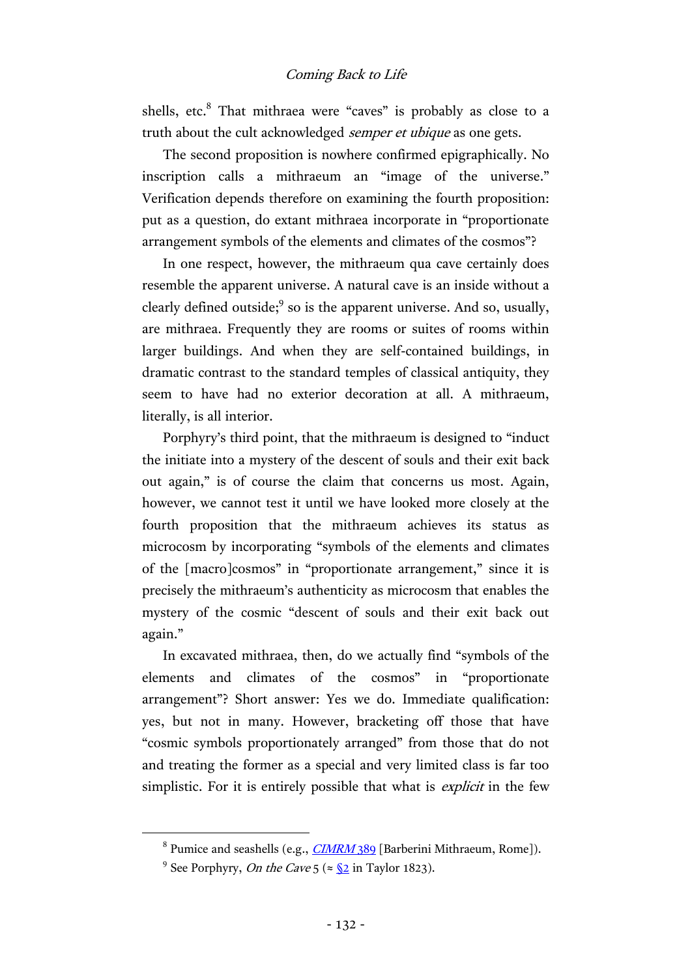shells, etc.<sup>8</sup> That mithraea were "caves" is probably as close to a truth about the cult acknowledged *semper et ubique* as one gets.

The second proposition is nowhere confirmed epigraphically. No inscription calls a mithraeum an "image of the universe." Verification depends therefore on examining the fourth proposition: put as a question, do extant mithraea incorporate in "proportionate arrangement symbols of the elements and climates of the cosmos"?

In one respect, however, the mithraeum qua cave certainly does resemble the apparent universe. A natural cave is an inside without a clearly defined outside; $9$  so is the apparent universe. And so, usually, are mithraea. Frequently they are rooms or suites of rooms within larger buildings. And when they are self-contained buildings, in dramatic contrast to the standard temples of classical antiquity, they seem to have had no exterior decoration at all. A mithraeum, literally, is all interior.

Porphyry's third point, that the mithraeum is designed to "induct the initiate into a mystery of the descent of souls and their exit back out again," is of course the claim that concerns us most. Again, however, we cannot test it until we have looked more closely at the fourth proposition that the mithraeum achieves its status as microcosm by incorporating "symbols of the elements and climates of the [macro]cosmos" in "proportionate arrangement," since it is precisely the mithraeum's authenticity as microcosm that enables the mystery of the cosmic "descent of souls and their exit back out again."

In excavated mithraea, then, do we actually find "symbols of the elements and climates of the cosmos" in "proportionate arrangement"? Short answer: Yes we do. Immediate qualification: yes, but not in many. However, bracketing off those that have "cosmic symbols proportionately arranged" from those that do not and treating the former as a special and very limited class is far too simplistic. For it is entirely possible that what is *explicit* in the few

<sup>&</sup>lt;sup>8</sup> Pumice and seashells (e.g., *[CIMRM](http://www.roger-pearse.com/mithras/display.php?page=cimrm389)* 389 [Barberini Mithraeum, Rome]).

<sup>&</sup>lt;sup>9</sup> See Porphyry, *On the Cave* 5 ( $\approx$  <u>[§2](http://hdl.handle.net/2027/mdp.39015046819200?urlappend=%3Bseq=197)</u> in Taylor 1823).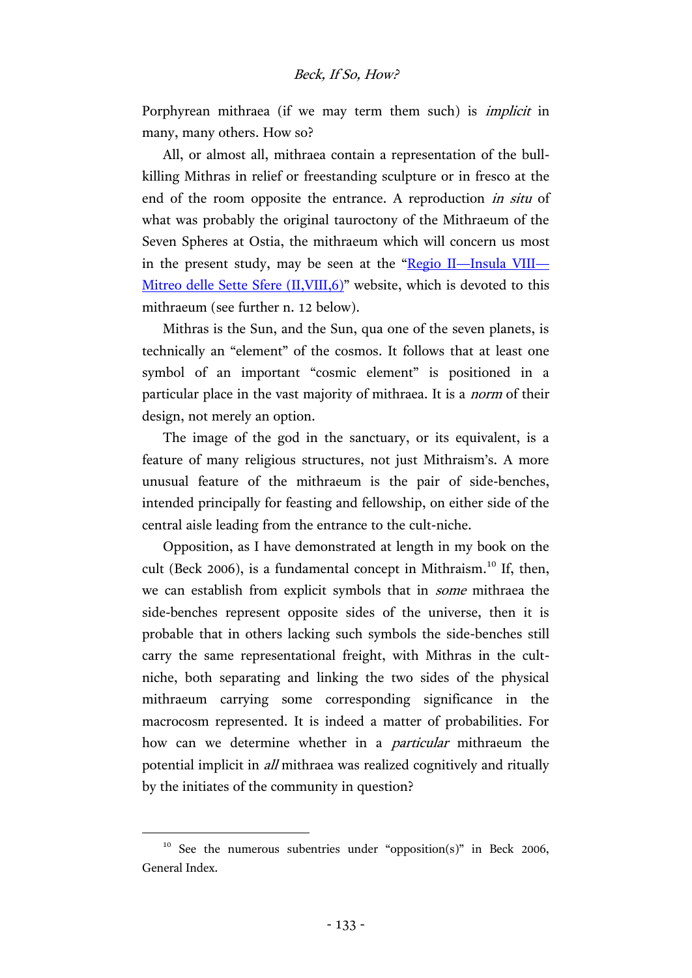Porphyrean mithraea (if we may term them such) is *implicit* in many, many others. How so?

All, or almost all, mithraea contain a representation of the bullkilling Mithras in relief or freestanding sculpture or in fresco at the end of the room opposite the entrance. A reproduction in situ of what was probably the original tauroctony of the Mithraeum of the Seven Spheres at Ostia, the mithraeum which will concern us most in the present study, may be seen at the "Regio II—[Insula VIII](http://www.ostia-antica.org/regio2/8/8-6.htm)— Mitreo delle Sette Sfere (II, VIII, 6)" website, which is devoted to this mithraeum (see further n. 12 below).

Mithras is the Sun, and the Sun, qua one of the seven planets, is technically an "element" of the cosmos. It follows that at least one symbol of an important "cosmic element" is positioned in a particular place in the vast majority of mithraea. It is a norm of their design, not merely an option.

The image of the god in the sanctuary, or its equivalent, is a feature of many religious structures, not just Mithraism's. A more unusual feature of the mithraeum is the pair of side-benches, intended principally for feasting and fellowship, on either side of the central aisle leading from the entrance to the cult-niche.

Opposition, as I have demonstrated at length in my book on the cult (Beck 2006), is a fundamental concept in Mithraism.<sup>10</sup> If, then, we can establish from explicit symbols that in some mithraea the side-benches represent opposite sides of the universe, then it is probable that in others lacking such symbols the side-benches still carry the same representational freight, with Mithras in the cultniche, both separating and linking the two sides of the physical mithraeum carrying some corresponding significance in the macrocosm represented. It is indeed a matter of probabilities. For how can we determine whether in a particular mithraeum the potential implicit in all mithraea was realized cognitively and ritually by the initiates of the community in question?

 $10$  See the numerous subentries under "opposition(s)" in Beck 2006, General Index.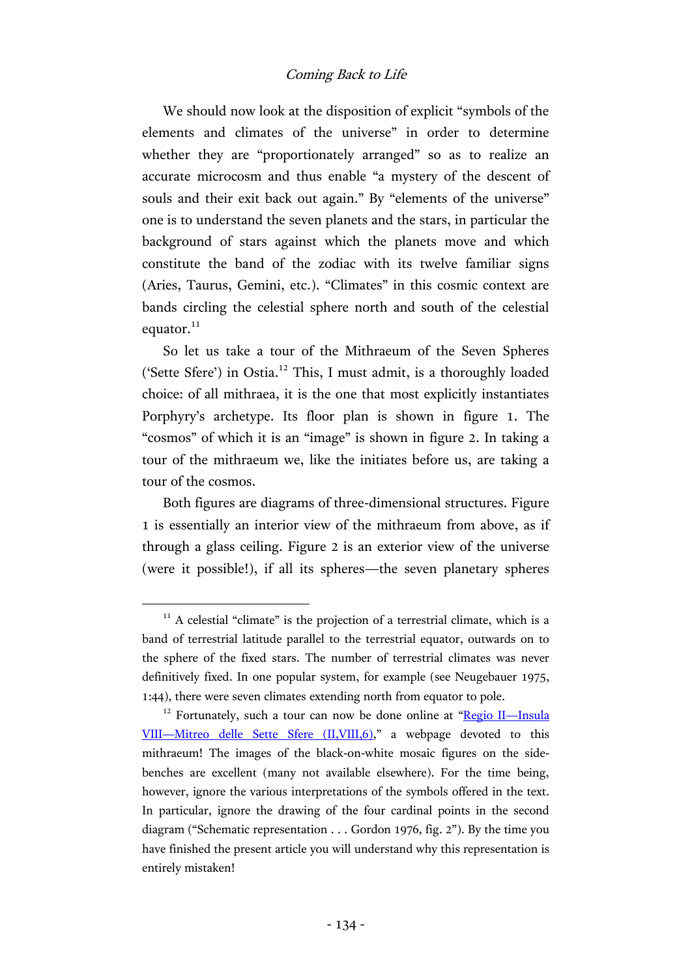We should now look at the disposition of explicit "symbols of the elements and climates of the universe" in order to determine whether they are "proportionately arranged" so as to realize an accurate microcosm and thus enable "a mystery of the descent of souls and their exit back out again." By "elements of the universe" one is to understand the seven planets and the stars, in particular the background of stars against which the planets move and which constitute the band of the zodiac with its twelve familiar signs (Aries, Taurus, Gemini, etc.). "Climates" in this cosmic context are bands circling the celestial sphere north and south of the celestial equator. $^{11}$ 

So let us take a tour of the Mithraeum of the Seven Spheres ('Sette Sfere') in Ostia.<sup>12</sup> This, I must admit, is a thoroughly loaded choice: of all mithraea, it is the one that most explicitly instantiates Porphyry's archetype. Its floor plan is shown in figure 1. The "cosmos" of which it is an "image" is shown in figure 2. In taking a tour of the mithraeum we, like the initiates before us, are taking a tour of the cosmos.

Both figures are diagrams of three-dimensional structures. Figure 1 is essentially an interior view of the mithraeum from above, as if through a glass ceiling. Figure 2 is an exterior view of the universe (were it possible!), if all its spheres—the seven planetary spheres

 $11$  A celestial "climate" is the projection of a terrestrial climate, which is a band of terrestrial latitude parallel to the terrestrial equator, outwards on to the sphere of the fixed stars. The number of terrestrial climates was never definitively fixed. In one popular system, for example (see Neugebauer 1975, 1:44), there were seven climates extending north from equator to pole.

 $12$  Fortunately, such a tour can now be done online at "[Regio II](http://www.ostia-antica.org/regio2/8/8-6.htm)—Insula VIII—[Mitreo delle Sette Sfere \(II,VIII,6\)](http://www.ostia-antica.org/regio2/8/8-6.htm)," a webpage devoted to this mithraeum! The images of the black-on-white mosaic figures on the sidebenches are excellent (many not available elsewhere). For the time being, however, ignore the various interpretations of the symbols offered in the text. In particular, ignore the drawing of the four cardinal points in the second diagram ("Schematic representation . . . Gordon 1976, fig. 2"). By the time you have finished the present article you will understand why this representation is entirely mistaken!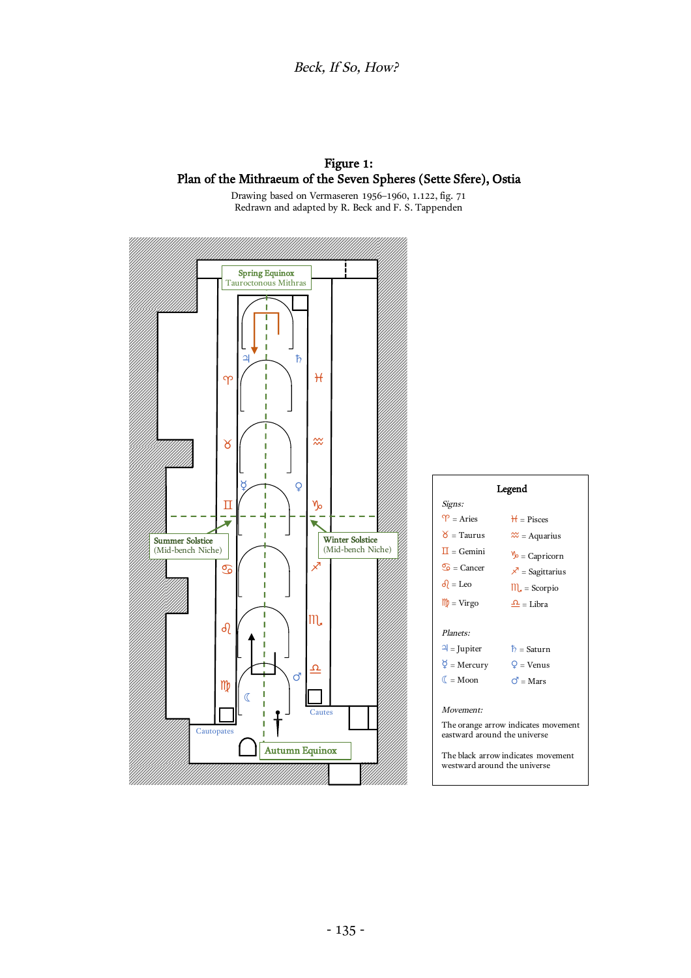### Figure 1: Plan of the Mithraeum of the Seven Spheres (Sette Sfere), Ostia

Drawing based on Vermaseren 1956–1960, 1.122, fig. 71 Redrawn and adapted by R. Beck and F. S. Tappenden

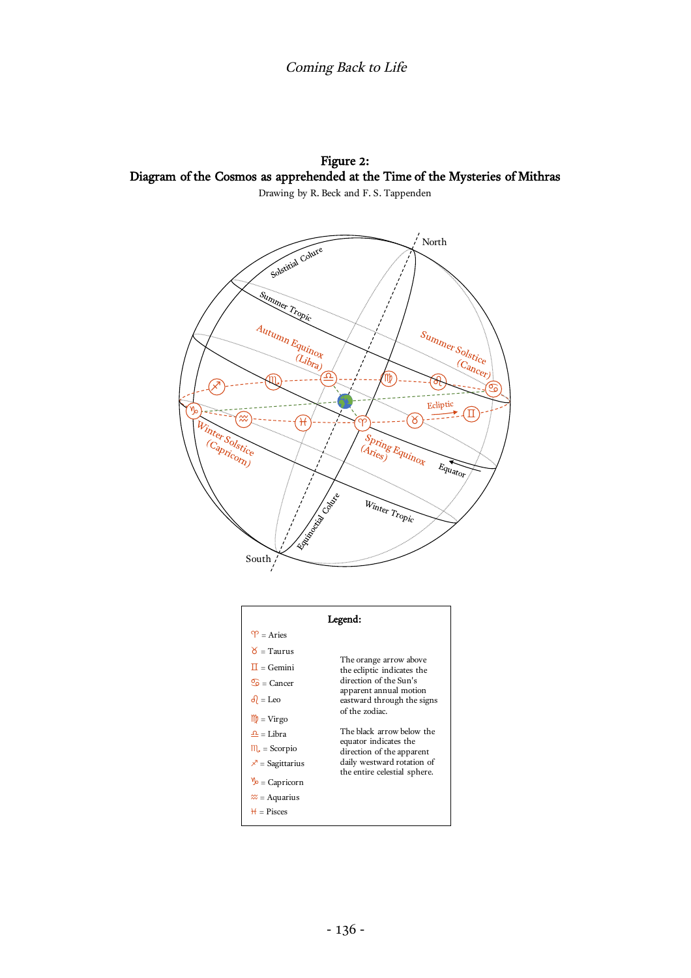Figure 2: Diagram of the Cosmos as apprehended at the Time of the Mysteries of Mithras Drawing by R. Beck and F. S. Tappenden



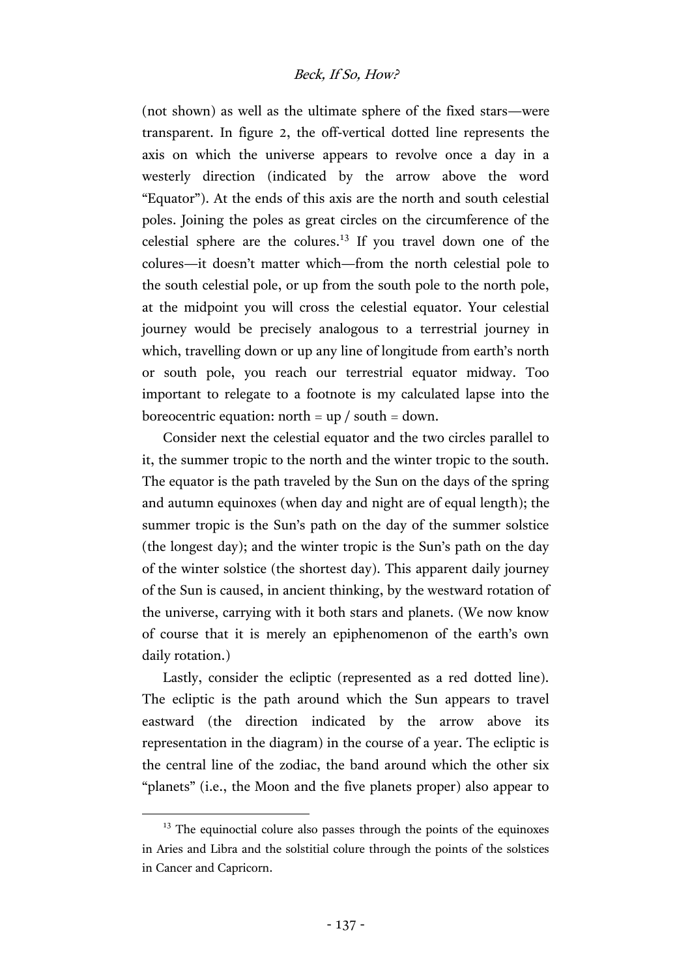(not shown) as well as the ultimate sphere of the fixed stars—were transparent. In figure 2, the off-vertical dotted line represents the axis on which the universe appears to revolve once a day in a westerly direction (indicated by the arrow above the word "Equator"). At the ends of this axis are the north and south celestial poles. Joining the poles as great circles on the circumference of the celestial sphere are the colures.<sup>13</sup> If you travel down one of the colures—it doesn't matter which—from the north celestial pole to the south celestial pole, or up from the south pole to the north pole, at the midpoint you will cross the celestial equator. Your celestial journey would be precisely analogous to a terrestrial journey in which, travelling down or up any line of longitude from earth's north or south pole, you reach our terrestrial equator midway. Too important to relegate to a footnote is my calculated lapse into the boreocentric equation: north =  $up / south = down$ .

Consider next the celestial equator and the two circles parallel to it, the summer tropic to the north and the winter tropic to the south. The equator is the path traveled by the Sun on the days of the spring and autumn equinoxes (when day and night are of equal length); the summer tropic is the Sun's path on the day of the summer solstice (the longest day); and the winter tropic is the Sun's path on the day of the winter solstice (the shortest day). This apparent daily journey of the Sun is caused, in ancient thinking, by the westward rotation of the universe, carrying with it both stars and planets. (We now know of course that it is merely an epiphenomenon of the earth's own daily rotation.)

Lastly, consider the ecliptic (represented as a red dotted line). The ecliptic is the path around which the Sun appears to travel eastward (the direction indicated by the arrow above its representation in the diagram) in the course of a year. The ecliptic is the central line of the zodiac, the band around which the other six "planets" (i.e., the Moon and the five planets proper) also appear to

<sup>&</sup>lt;sup>13</sup> The equinoctial colure also passes through the points of the equinoxes in Aries and Libra and the solstitial colure through the points of the solstices in Cancer and Capricorn.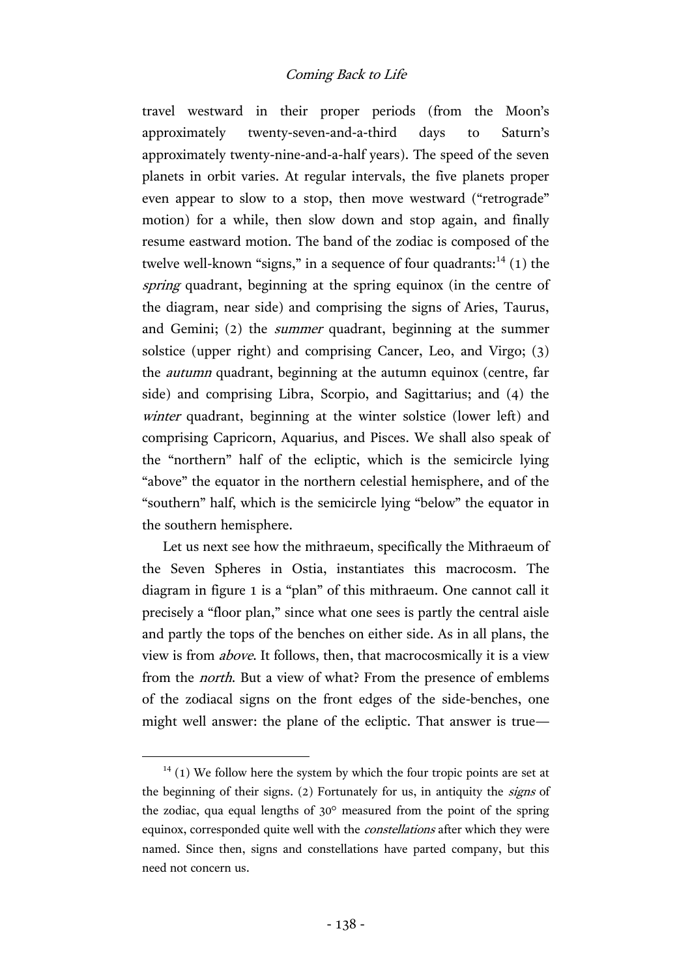travel westward in their proper periods (from the Moon's approximately twenty-seven-and-a-third days to Saturn's approximately twenty-nine-and-a-half years). The speed of the seven planets in orbit varies. At regular intervals, the five planets proper even appear to slow to a stop, then move westward ("retrograde" motion) for a while, then slow down and stop again, and finally resume eastward motion. The band of the zodiac is composed of the twelve well-known "signs," in a sequence of four quadrants: $^{14}$  (1) the spring quadrant, beginning at the spring equinox (in the centre of the diagram, near side) and comprising the signs of Aries, Taurus, and Gemini; (2) the summer quadrant, beginning at the summer solstice (upper right) and comprising Cancer, Leo, and Virgo; (3) the autumn quadrant, beginning at the autumn equinox (centre, far side) and comprising Libra, Scorpio, and Sagittarius; and (4) the winter quadrant, beginning at the winter solstice (lower left) and comprising Capricorn, Aquarius, and Pisces. We shall also speak of the "northern" half of the ecliptic, which is the semicircle lying "above" the equator in the northern celestial hemisphere, and of the "southern" half, which is the semicircle lying "below" the equator in the southern hemisphere.

Let us next see how the mithraeum, specifically the Mithraeum of the Seven Spheres in Ostia, instantiates this macrocosm. The diagram in figure 1 is a "plan" of this mithraeum. One cannot call it precisely a "floor plan," since what one sees is partly the central aisle and partly the tops of the benches on either side. As in all plans, the view is from above. It follows, then, that macrocosmically it is a view from the north. But a view of what? From the presence of emblems of the zodiacal signs on the front edges of the side-benches, one might well answer: the plane of the ecliptic. That answer is true—

 $14$  (1) We follow here the system by which the four tropic points are set at the beginning of their signs. (2) Fortunately for us, in antiquity the signs of the zodiac, qua equal lengths of 30° measured from the point of the spring equinox, corresponded quite well with the constellations after which they were named. Since then, signs and constellations have parted company, but this need not concern us.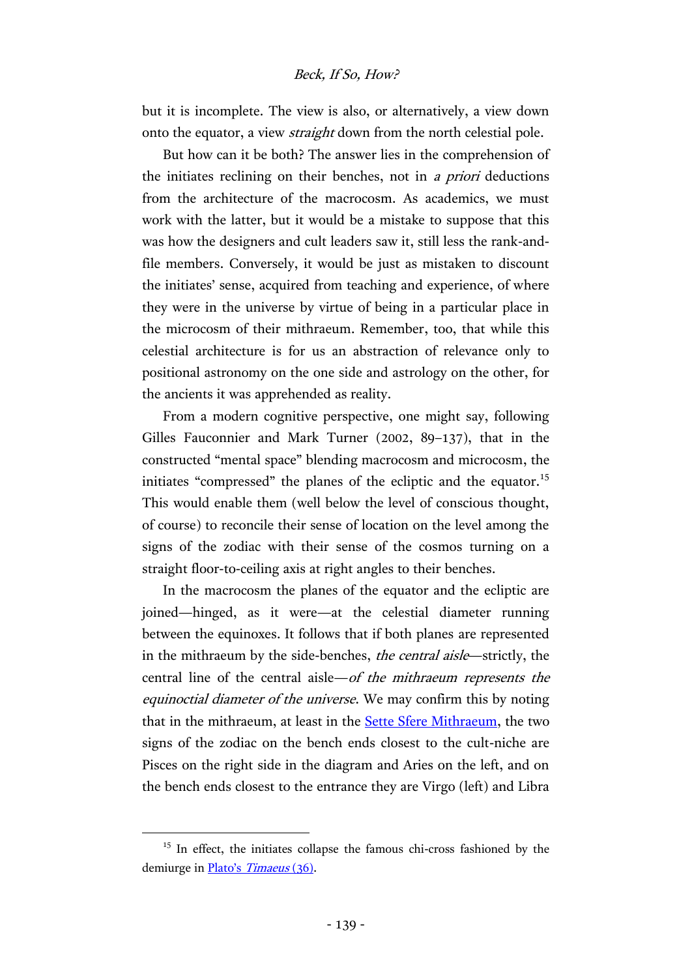### Beck, If So, How?

but it is incomplete. The view is also, or alternatively, a view down onto the equator, a view straight down from the north celestial pole.

But how can it be both? The answer lies in the comprehension of the initiates reclining on their benches, not in a priori deductions from the architecture of the macrocosm. As academics, we must work with the latter, but it would be a mistake to suppose that this was how the designers and cult leaders saw it, still less the rank-andfile members. Conversely, it would be just as mistaken to discount the initiates' sense, acquired from teaching and experience, of where they were in the universe by virtue of being in a particular place in the microcosm of their mithraeum. Remember, too, that while this celestial architecture is for us an abstraction of relevance only to positional astronomy on the one side and astrology on the other, for the ancients it was apprehended as reality.

From a modern cognitive perspective, one might say, following Gilles Fauconnier and Mark Turner (2002, 89–137), that in the constructed "mental space" blending macrocosm and microcosm, the initiates "compressed" the planes of the ecliptic and the equator.<sup>15</sup> This would enable them (well below the level of conscious thought, of course) to reconcile their sense of location on the level among the signs of the zodiac with their sense of the cosmos turning on a straight floor-to-ceiling axis at right angles to their benches.

In the macrocosm the planes of the equator and the ecliptic are joined—hinged, as it were—at the celestial diameter running between the equinoxes. It follows that if both planes are represented in the mithraeum by the side-benches, the central aisle—strictly, the central line of the central aisle—of the mithraeum represents the equinoctial diameter of the universe. We may confirm this by noting that in the mithraeum, at least in the [Sette Sfere Mithraeum,](http://www.ostia-antica.org/regio2/8/8-6.htm) the two signs of the zodiac on the bench ends closest to the cult-niche are Pisces on the right side in the diagram and Aries on the left, and on the bench ends closest to the entrance they are Virgo (left) and Libra

<sup>&</sup>lt;sup>15</sup> In effect, the initiates collapse the famous chi-cross fashioned by the demiurge in *[Plato's](http://data.perseus.org/citations/urn:cts:greekLit:tlg0059.tlg031.perseus-grc1:36) Timaeus* (36).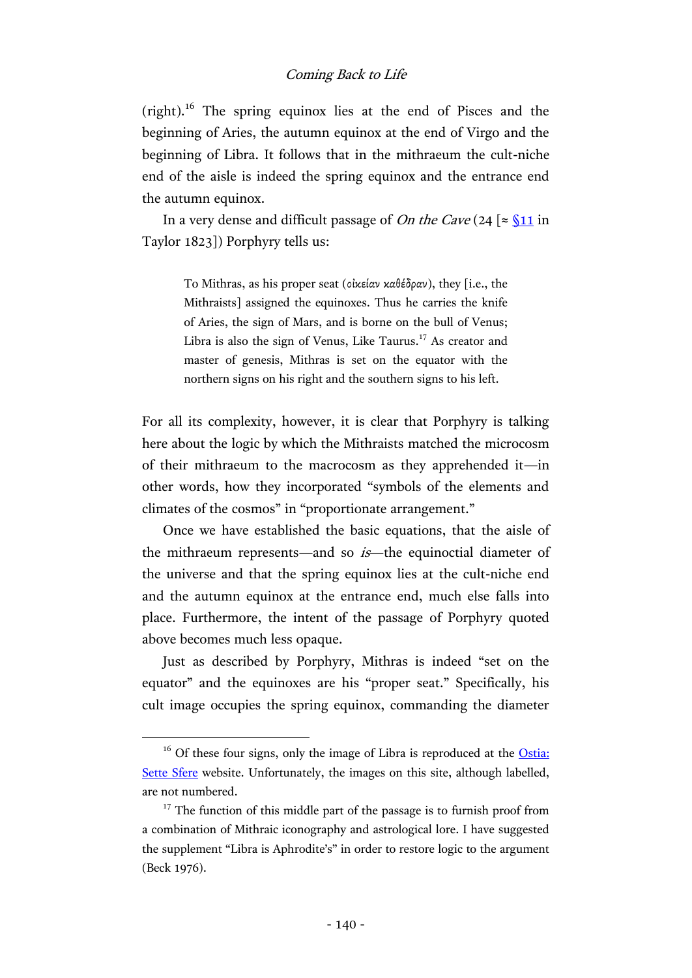$(right)^{16}$  The spring equinox lies at the end of Pisces and the beginning of Aries, the autumn equinox at the end of Virgo and the beginning of Libra. It follows that in the mithraeum the cult-niche end of the aisle is indeed the spring equinox and the entrance end the autumn equinox.

In a very dense and difficult passage of *On the Cave* (24  $\approx$  <u>[§11](http://hdl.handle.net/2027/mdp.39015046819200?urlappend=%3Bseq=212)</u> in Taylor 1823]) Porphyry tells us:

> To Mithras, as his proper seat (οἰκείαν καθέδραν), they [i.e., the Mithraists] assigned the equinoxes. Thus he carries the knife of Aries, the sign of Mars, and is borne on the bull of Venus; Libra is also the sign of Venus, Like Taurus. $^{17}$  As creator and master of genesis, Mithras is set on the equator with the northern signs on his right and the southern signs to his left.

For all its complexity, however, it is clear that Porphyry is talking here about the logic by which the Mithraists matched the microcosm of their mithraeum to the macrocosm as they apprehended it—in other words, how they incorporated "symbols of the elements and climates of the cosmos" in "proportionate arrangement."

Once we have established the basic equations, that the aisle of the mithraeum represents—and so is—the equinoctial diameter of the universe and that the spring equinox lies at the cult-niche end and the autumn equinox at the entrance end, much else falls into place. Furthermore, the intent of the passage of Porphyry quoted above becomes much less opaque.

Just as described by Porphyry, Mithras is indeed "set on the equator" and the equinoxes are his "proper seat." Specifically, his cult image occupies the spring equinox, commanding the diameter

 $16$  Of these four signs, only the image of Libra is reproduced at the Ostia: [Sette Sfere](http://www.ostia-antica.org/regio2/8/8-6.htm) website. Unfortunately, the images on this site, although labelled, are not numbered.

 $17$  The function of this middle part of the passage is to furnish proof from a combination of Mithraic iconography and astrological lore. I have suggested the supplement "Libra is Aphrodite's" in order to restore logic to the argument (Beck 1976).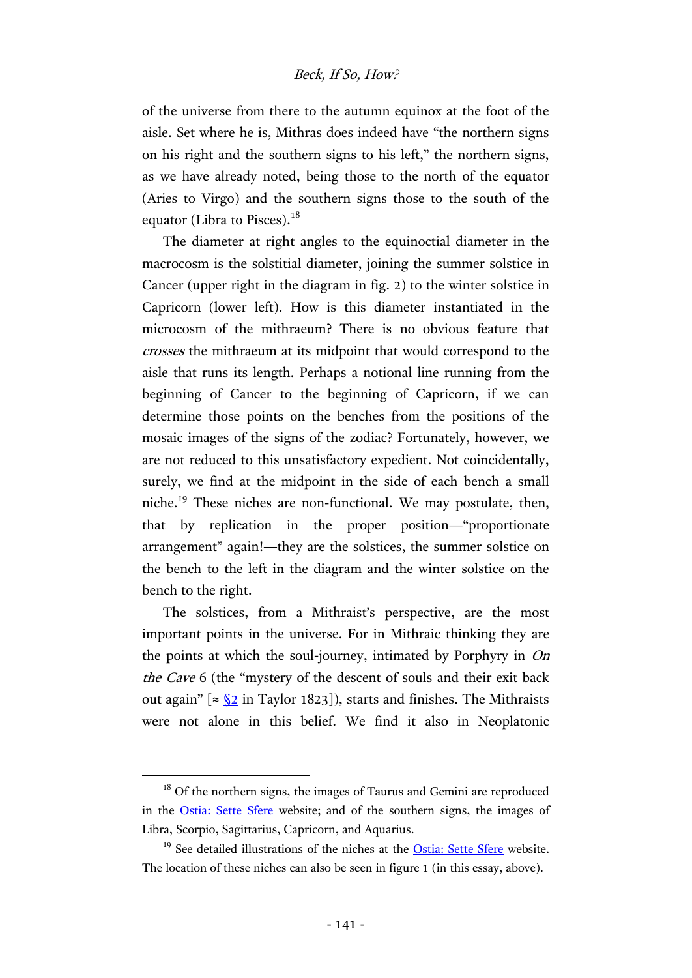### Beck, If So, How?

of the universe from there to the autumn equinox at the foot of the aisle. Set where he is, Mithras does indeed have "the northern signs on his right and the southern signs to his left," the northern signs, as we have already noted, being those to the north of the equator (Aries to Virgo) and the southern signs those to the south of the equator (Libra to Pisces).<sup>18</sup>

The diameter at right angles to the equinoctial diameter in the macrocosm is the solstitial diameter, joining the summer solstice in Cancer (upper right in the diagram in fig. 2) to the winter solstice in Capricorn (lower left). How is this diameter instantiated in the microcosm of the mithraeum? There is no obvious feature that crosses the mithraeum at its midpoint that would correspond to the aisle that runs its length. Perhaps a notional line running from the beginning of Cancer to the beginning of Capricorn, if we can determine those points on the benches from the positions of the mosaic images of the signs of the zodiac? Fortunately, however, we are not reduced to this unsatisfactory expedient. Not coincidentally, surely, we find at the midpoint in the side of each bench a small niche.<sup>19</sup> These niches are non-functional. We may postulate, then, that by replication in the proper position—"proportionate arrangement" again!—they are the solstices, the summer solstice on the bench to the left in the diagram and the winter solstice on the bench to the right.

The solstices, from a Mithraist's perspective, are the most important points in the universe. For in Mithraic thinking they are the points at which the soul-journey, intimated by Porphyry in On the Cave 6 (the "mystery of the descent of souls and their exit back out again"  $\lceil \approx \sqrt{2} \rceil$  in Taylor 1823]), starts and finishes. The Mithraists were not alone in this belief. We find it also in Neoplatonic

<sup>&</sup>lt;sup>18</sup> Of the northern signs, the images of Taurus and Gemini are reproduced in the [Ostia: Sette Sfere](http://www.ostia-antica.org/regio2/8/8-6.htm) website; and of the southern signs, the images of Libra, Scorpio, Sagittarius, Capricorn, and Aquarius.

<sup>&</sup>lt;sup>19</sup> See detailed illustrations of the niches at the [Ostia: Sette Sfere](http://www.ostia-antica.org/regio2/8/8-6.htm) website. The location of these niches can also be seen in figure 1 (in this essay, above).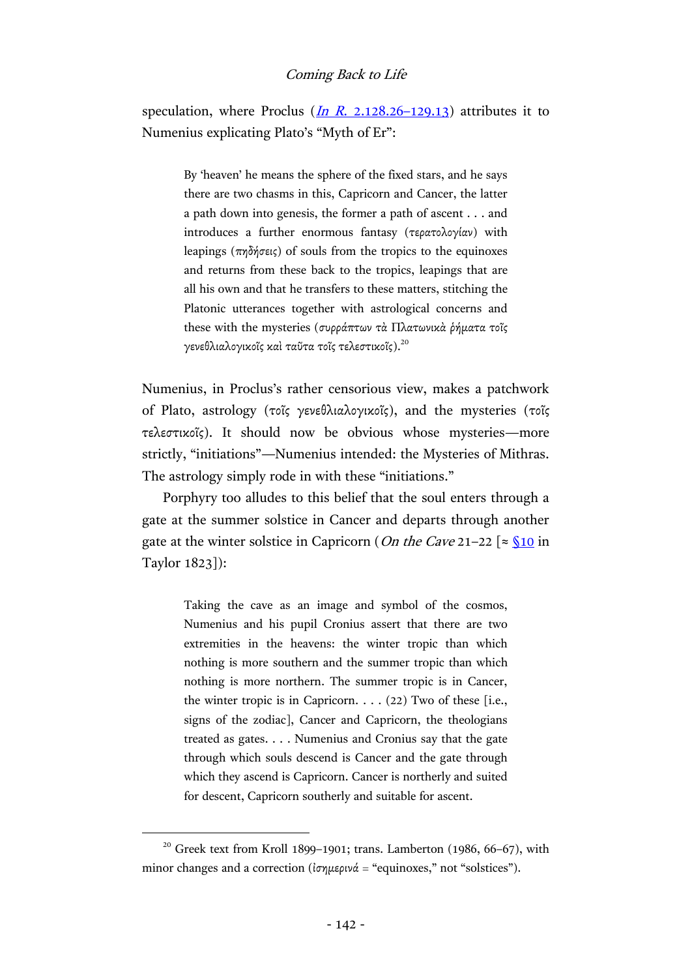speculation, where Proclus  $(In \ R, 2.128.26-129.13)$  attributes it to Numenius explicating Plato's "Myth of Er":

> By 'heaven' he means the sphere of the fixed stars, and he says there are two chasms in this, Capricorn and Cancer, the latter a path down into genesis, the former a path of ascent . . . and introduces a further enormous fantasy (τερατολογίαν) with leapings (πηδήσεις) of souls from the tropics to the equinoxes and returns from these back to the tropics, leapings that are all his own and that he transfers to these matters, stitching the Platonic utterances together with astrological concerns and these with the mysteries (συρράπτων τὰ Πλατωνικὰ ῥήματα τοῖς γενεθλιαλογικοῖς καὶ ταῦτα τοῖς τελεστικοῖς). $^{20}$

Numenius, in Proclus's rather censorious view, makes a patchwork of Plato, astrology (τοῖς γενεθλιαλογικοῖς), and the mysteries (τοῖς τελεστικοῖς). It should now be obvious whose mysteries—more strictly, "initiations"—Numenius intended: the Mysteries of Mithras. The astrology simply rode in with these "initiations."

Porphyry too alludes to this belief that the soul enters through a gate at the summer solstice in Cancer and departs through another gate at the winter solstice in Capricorn (*On the Cave* 21–22  $\lceil \approx \sqrt{310} \rceil$  in Taylor 1823]):

> Taking the cave as an image and symbol of the cosmos, Numenius and his pupil Cronius assert that there are two extremities in the heavens: the winter tropic than which nothing is more southern and the summer tropic than which nothing is more northern. The summer tropic is in Cancer, the winter tropic is in Capricorn. . . . (22) Two of these [i.e., signs of the zodiac], Cancer and Capricorn, the theologians treated as gates. . . . Numenius and Cronius say that the gate through which souls descend is Cancer and the gate through which they ascend is Capricorn. Cancer is northerly and suited for descent, Capricorn southerly and suitable for ascent.

 $20$  Greek text from Kroll 1899-1901; trans. Lamberton (1986, 66-67), with minor changes and a correction (ἰσημερινά = "equinoxes," not "solstices").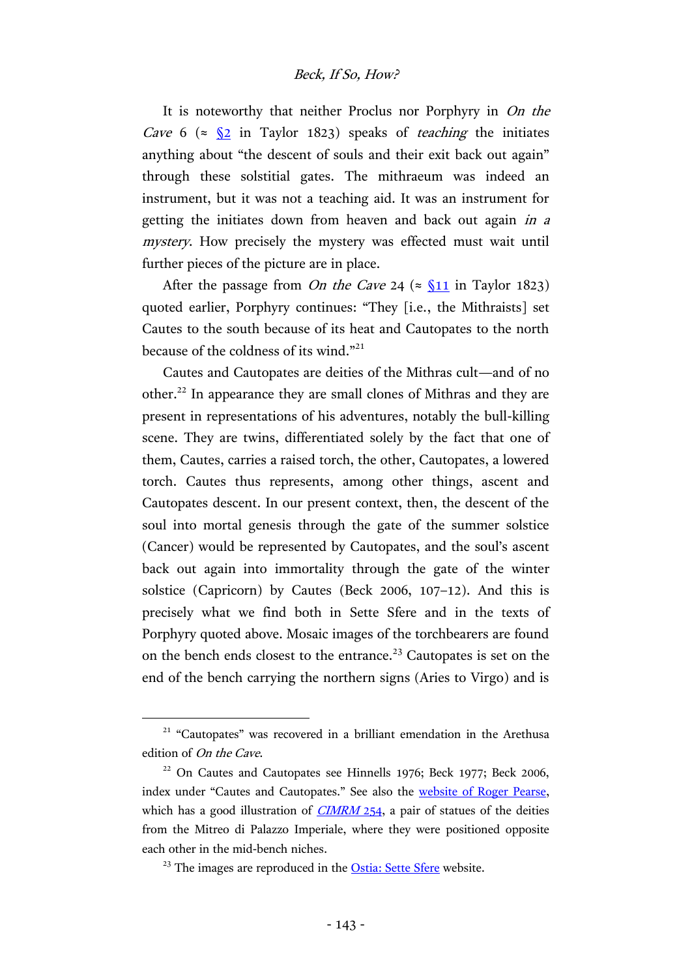It is noteworthy that neither Proclus nor Porphyry in On the *Cave* 6 ( $\approx \frac{\sqrt{2}}{2}$  in Taylor 1823) speaks of *teaching* the initiates anything about "the descent of souls and their exit back out again" through these solstitial gates. The mithraeum was indeed an instrument, but it was not a teaching aid. It was an instrument for getting the initiates down from heaven and back out again in a mystery. How precisely the mystery was effected must wait until further pieces of the picture are in place.

After the passage from *On the Cave* 24 ( $\approx$  <u>[§11](http://hdl.handle.net/2027/mdp.39015046819200?urlappend=%3Bseq=212)</u> in Taylor 1823) quoted earlier, Porphyry continues: "They [i.e., the Mithraists] set Cautes to the south because of its heat and Cautopates to the north because of the coldness of its wind."<sup>21</sup>

Cautes and Cautopates are deities of the Mithras cult—and of no other.22 In appearance they are small clones of Mithras and they are present in representations of his adventures, notably the bull-killing scene. They are twins, differentiated solely by the fact that one of them, Cautes, carries a raised torch, the other, Cautopates, a lowered torch. Cautes thus represents, among other things, ascent and Cautopates descent. In our present context, then, the descent of the soul into mortal genesis through the gate of the summer solstice (Cancer) would be represented by Cautopates, and the soul's ascent back out again into immortality through the gate of the winter solstice (Capricorn) by Cautes (Beck 2006, 107–12). And this is precisely what we find both in Sette Sfere and in the texts of Porphyry quoted above. Mosaic images of the torchbearers are found on the bench ends closest to the entrance.<sup>23</sup> Cautopates is set on the end of the bench carrying the northern signs (Aries to Virgo) and is

<sup>&</sup>lt;sup>21</sup> "Cautopates" was recovered in a brilliant emendation in the Arethusa edition of On the Cave.

<sup>&</sup>lt;sup>22</sup> On Cautes and Cautopates see Hinnells 1976; Beck 1977; Beck 2006, index under "Cautes and Cautopates." See also the [website of Roger Pearse,](http://www.roger-pearse.com/mithras/display.php?page=cautes_and_cautopates) which has a good illustration of  $CIMRM$  254, a pair of statues of the deities from the Mitreo di Palazzo Imperiale, where they were positioned opposite each other in the mid-bench niches.

<sup>&</sup>lt;sup>23</sup> The images are reproduced in the **Ostia: Sette Sfere** website.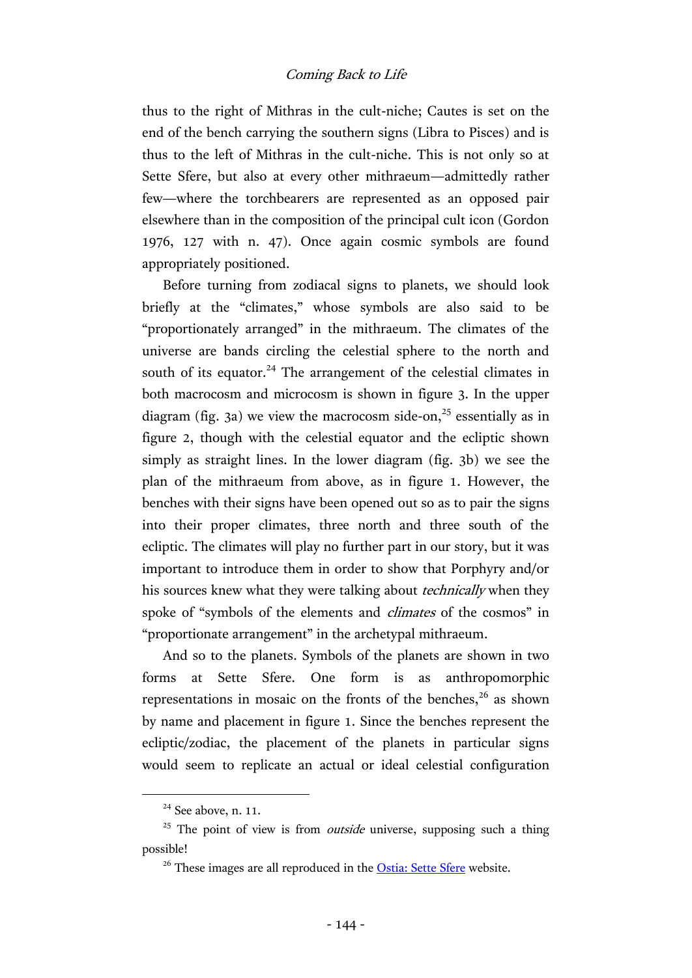thus to the right of Mithras in the cult-niche; Cautes is set on the end of the bench carrying the southern signs (Libra to Pisces) and is thus to the left of Mithras in the cult-niche. This is not only so at Sette Sfere, but also at every other mithraeum—admittedly rather few—where the torchbearers are represented as an opposed pair elsewhere than in the composition of the principal cult icon (Gordon 1976, 127 with n. 47). Once again cosmic symbols are found appropriately positioned.

Before turning from zodiacal signs to planets, we should look briefly at the "climates," whose symbols are also said to be "proportionately arranged" in the mithraeum. The climates of the universe are bands circling the celestial sphere to the north and south of its equator.<sup>24</sup> The arrangement of the celestial climates in both macrocosm and microcosm is shown in figure 3. In the upper diagram (fig. 3a) we view the macrocosm side-on, $25$  essentially as in figure 2, though with the celestial equator and the ecliptic shown simply as straight lines. In the lower diagram (fig. 3b) we see the plan of the mithraeum from above, as in figure 1. However, the benches with their signs have been opened out so as to pair the signs into their proper climates, three north and three south of the ecliptic. The climates will play no further part in our story, but it was important to introduce them in order to show that Porphyry and/or his sources knew what they were talking about *technically* when they spoke of "symbols of the elements and *climates* of the cosmos" in "proportionate arrangement" in the archetypal mithraeum.

And so to the planets. Symbols of the planets are shown in two forms at Sette Sfere. One form is as anthropomorphic representations in mosaic on the fronts of the benches,  $2^6$  as shown by name and placement in figure 1. Since the benches represent the ecliptic/zodiac, the placement of the planets in particular signs would seem to replicate an actual or ideal celestial configuration

 $24$  See above, n. 11.

 $25$  The point of view is from *outside* universe, supposing such a thing possible!

<sup>&</sup>lt;sup>26</sup> These images are all reproduced in the **Ostia: Sette Sfere** website.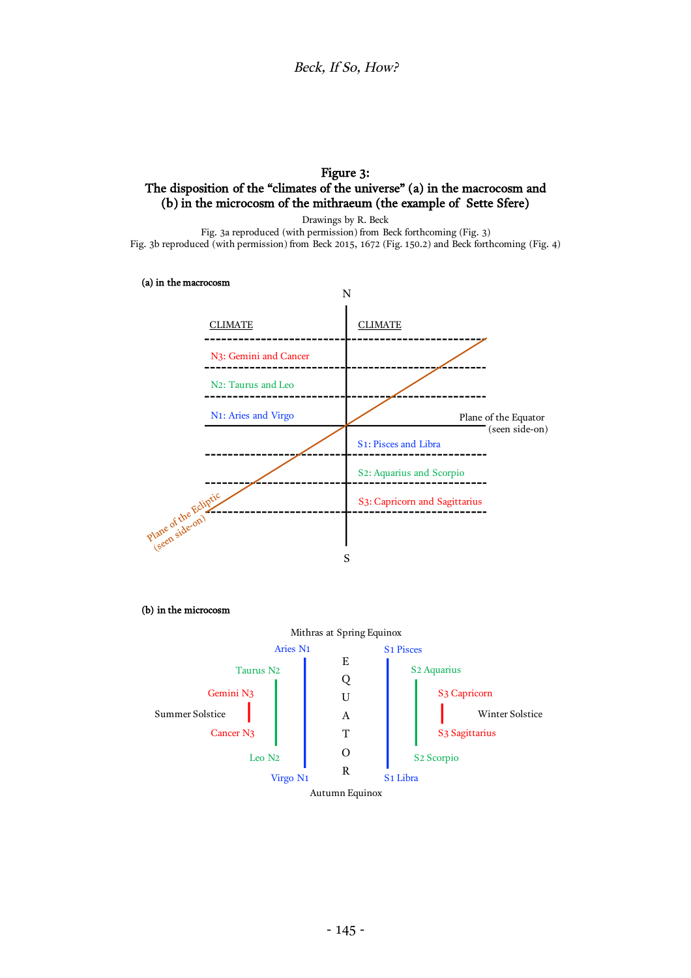### Figure 3: The disposition of the "climates of the universe" (a) in the macrocosm and (b) in the microcosm of the mithraeum (the example of Sette Sfere)

Drawings by R. Beck Fig. 3a reproduced (with permission) from Beck forthcoming (Fig. 3) Fig. 3b reproduced (with permission) from Beck 2015, 1672 (Fig. 150.2) and Beck forthcoming (Fig. 4)

(a) in the macrocosm



(b) in the microcosm

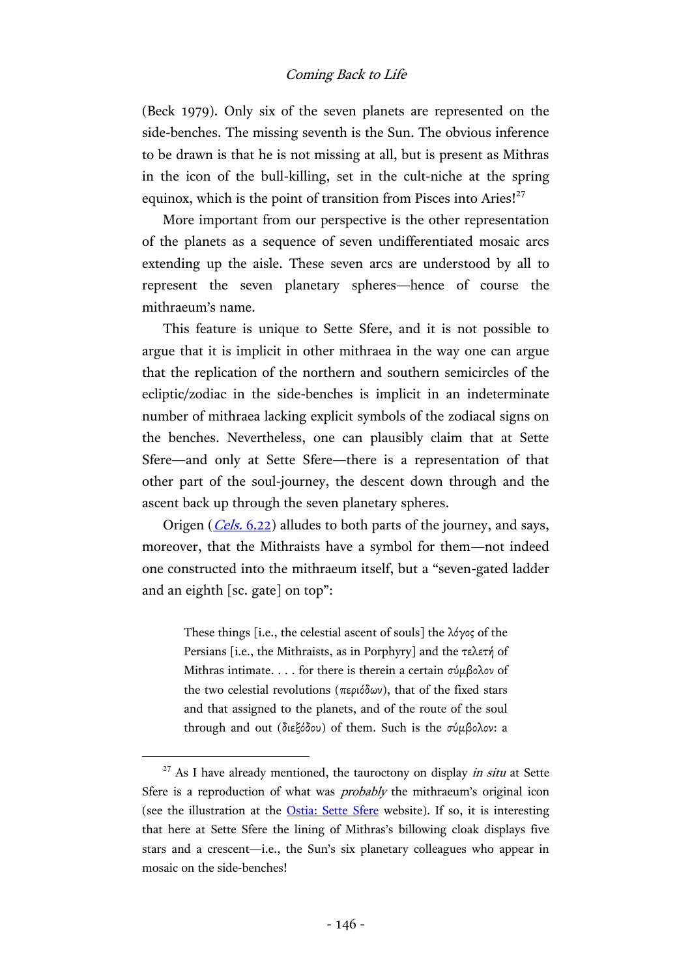(Beck 1979). Only six of the seven planets are represented on the side-benches. The missing seventh is the Sun. The obvious inference to be drawn is that he is not missing at all, but is present as Mithras in the icon of the bull-killing, set in the cult-niche at the spring equinox, which is the point of transition from Pisces into Aries! $27$ 

More important from our perspective is the other representation of the planets as a sequence of seven undifferentiated mosaic arcs extending up the aisle. These seven arcs are understood by all to represent the seven planetary spheres—hence of course the mithraeum's name.

This feature is unique to Sette Sfere, and it is not possible to argue that it is implicit in other mithraea in the way one can argue that the replication of the northern and southern semicircles of the ecliptic/zodiac in the side-benches is implicit in an indeterminate number of mithraea lacking explicit symbols of the zodiacal signs on the benches. Nevertheless, one can plausibly claim that at Sette Sfere—and only at Sette Sfere—there is a representation of that other part of the soul-journey, the descent down through and the ascent back up through the seven planetary spheres.

Origen (*Cels.* [6.22\)](http://hdl.handle.net/2027/njp.32101075296036?urlappend=%3Bseq=593) alludes to both parts of the journey, and says, moreover, that the Mithraists have a symbol for them—not indeed one constructed into the mithraeum itself, but a "seven-gated ladder and an eighth [sc. gate] on top":

> These things [i.e., the celestial ascent of souls] the λόγος of the Persians [i.e., the Mithraists, as in Porphyry] and the τελετή of Mithras intimate. . . . for there is therein a certain σύμβολον of the two celestial revolutions (περιόδων), that of the fixed stars and that assigned to the planets, and of the route of the soul through and out (διεξόδου) of them. Such is the σύμβολον: a

 $27$  As I have already mentioned, the tauroctony on display *in situ* at Sette Sfere is a reproduction of what was *probably* the mithraeum's original icon (see the illustration at the [Ostia: Sette Sfere](http://www.ostia-antica.org/regio2/8/8-6.htm) website). If so, it is interesting that here at Sette Sfere the lining of Mithras's billowing cloak displays five stars and a crescent—i.e., the Sun's six planetary colleagues who appear in mosaic on the side-benches!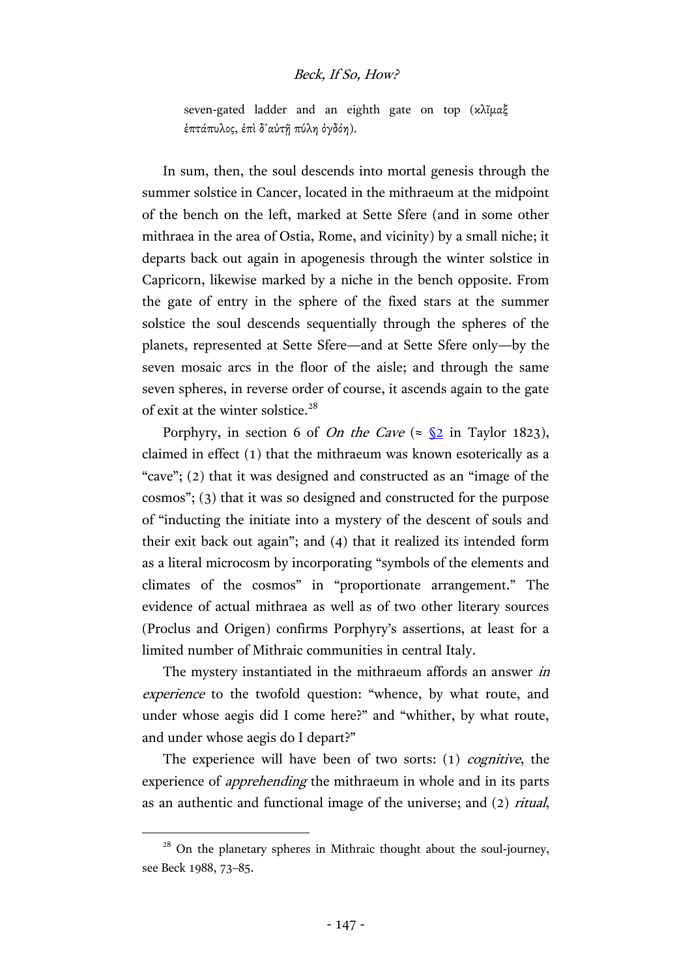### Beck, If So, How?

seven-gated ladder and an eighth gate on top (κλῖμαξ ἑπτάπυλος, ἐπὶ δ᾽αὐτῇ πύλη ὀγδόη).

In sum, then, the soul descends into mortal genesis through the summer solstice in Cancer, located in the mithraeum at the midpoint of the bench on the left, marked at Sette Sfere (and in some other mithraea in the area of Ostia, Rome, and vicinity) by a small niche; it departs back out again in apogenesis through the winter solstice in Capricorn, likewise marked by a niche in the bench opposite. From the gate of entry in the sphere of the fixed stars at the summer solstice the soul descends sequentially through the spheres of the planets, represented at Sette Sfere—and at Sette Sfere only—by the seven mosaic arcs in the floor of the aisle; and through the same seven spheres, in reverse order of course, it ascends again to the gate of exit at the winter solstice.<sup>28</sup>

Porphyry, in section 6 of *On the Cave* ( $\approx \frac{\sqrt{2}}{2}$  in Taylor 1823), claimed in effect (1) that the mithraeum was known esoterically as a "cave"; (2) that it was designed and constructed as an "image of the cosmos"; (3) that it was so designed and constructed for the purpose of "inducting the initiate into a mystery of the descent of souls and their exit back out again"; and (4) that it realized its intended form as a literal microcosm by incorporating "symbols of the elements and climates of the cosmos" in "proportionate arrangement." The evidence of actual mithraea as well as of two other literary sources (Proclus and Origen) confirms Porphyry's assertions, at least for a limited number of Mithraic communities in central Italy.

The mystery instantiated in the mithraeum affords an answer in experience to the twofold question: "whence, by what route, and under whose aegis did I come here?" and "whither, by what route, and under whose aegis do I depart?"

The experience will have been of two sorts: (1) *cognitive*, the experience of apprehending the mithraeum in whole and in its parts as an authentic and functional image of the universe; and (2) ritual,

 $28$  On the planetary spheres in Mithraic thought about the soul-journey, see Beck 1988, 73–85.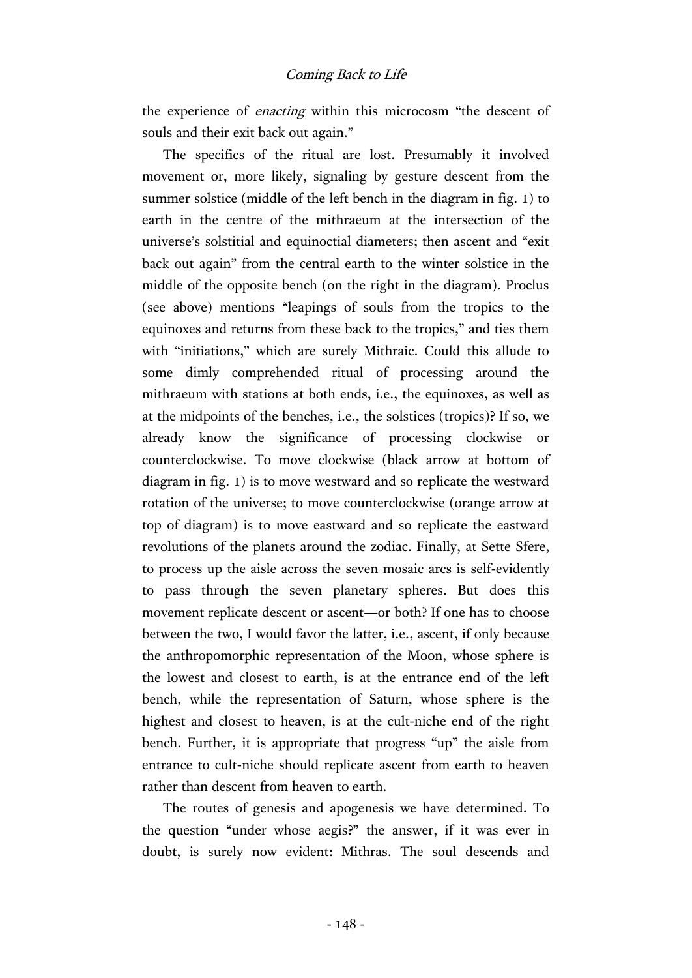the experience of enacting within this microcosm "the descent of souls and their exit back out again."

The specifics of the ritual are lost. Presumably it involved movement or, more likely, signaling by gesture descent from the summer solstice (middle of the left bench in the diagram in fig. 1) to earth in the centre of the mithraeum at the intersection of the universe's solstitial and equinoctial diameters; then ascent and "exit back out again" from the central earth to the winter solstice in the middle of the opposite bench (on the right in the diagram). Proclus (see above) mentions "leapings of souls from the tropics to the equinoxes and returns from these back to the tropics," and ties them with "initiations," which are surely Mithraic. Could this allude to some dimly comprehended ritual of processing around the mithraeum with stations at both ends, i.e., the equinoxes, as well as at the midpoints of the benches, i.e., the solstices (tropics)? If so, we already know the significance of processing clockwise or counterclockwise. To move clockwise (black arrow at bottom of diagram in fig. 1) is to move westward and so replicate the westward rotation of the universe; to move counterclockwise (orange arrow at top of diagram) is to move eastward and so replicate the eastward revolutions of the planets around the zodiac. Finally, at Sette Sfere, to process up the aisle across the seven mosaic arcs is self-evidently to pass through the seven planetary spheres. But does this movement replicate descent or ascent—or both? If one has to choose between the two, I would favor the latter, i.e., ascent, if only because the anthropomorphic representation of the Moon, whose sphere is the lowest and closest to earth, is at the entrance end of the left bench, while the representation of Saturn, whose sphere is the highest and closest to heaven, is at the cult-niche end of the right bench. Further, it is appropriate that progress "up" the aisle from entrance to cult-niche should replicate ascent from earth to heaven rather than descent from heaven to earth.

The routes of genesis and apogenesis we have determined. To the question "under whose aegis?" the answer, if it was ever in doubt, is surely now evident: Mithras. The soul descends and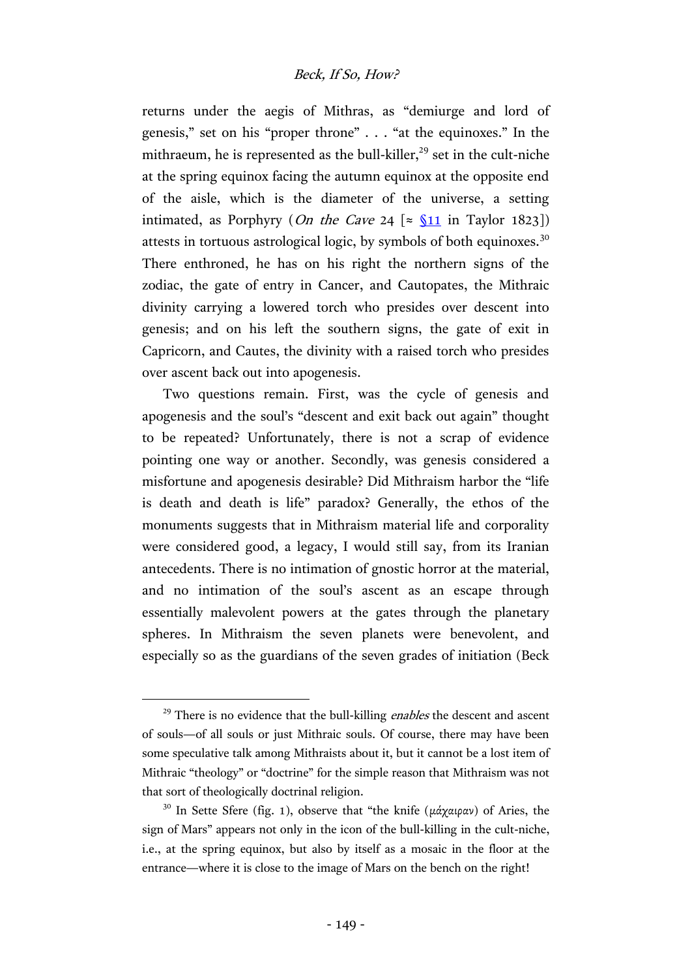returns under the aegis of Mithras, as "demiurge and lord of genesis," set on his "proper throne" . . . "at the equinoxes." In the mithraeum, he is represented as the bull-killer, $^{29}$  set in the cult-niche at the spring equinox facing the autumn equinox at the opposite end of the aisle, which is the diameter of the universe, a setting intimated, as Porphyry (*On the Cave* 24  $\lceil \approx \sqrt{311} \text{ in Taylor 1823} \rceil$ ) attests in tortuous astrological logic, by symbols of both equinoxes.<sup>30</sup> There enthroned, he has on his right the northern signs of the zodiac, the gate of entry in Cancer, and Cautopates, the Mithraic divinity carrying a lowered torch who presides over descent into genesis; and on his left the southern signs, the gate of exit in Capricorn, and Cautes, the divinity with a raised torch who presides over ascent back out into apogenesis.

Two questions remain. First, was the cycle of genesis and apogenesis and the soul's "descent and exit back out again" thought to be repeated? Unfortunately, there is not a scrap of evidence pointing one way or another. Secondly, was genesis considered a misfortune and apogenesis desirable? Did Mithraism harbor the "life is death and death is life" paradox? Generally, the ethos of the monuments suggests that in Mithraism material life and corporality were considered good, a legacy, I would still say, from its Iranian antecedents. There is no intimation of gnostic horror at the material, and no intimation of the soul's ascent as an escape through essentially malevolent powers at the gates through the planetary spheres. In Mithraism the seven planets were benevolent, and especially so as the guardians of the seven grades of initiation (Beck

 $29$  There is no evidence that the bull-killing *enables* the descent and ascent of souls—of all souls or just Mithraic souls. Of course, there may have been some speculative talk among Mithraists about it, but it cannot be a lost item of Mithraic "theology" or "doctrine" for the simple reason that Mithraism was not that sort of theologically doctrinal religion.

<sup>&</sup>lt;sup>30</sup> In Sette Sfere (fig. 1), observe that "the knife (μάχαιραν) of Aries, the sign of Mars" appears not only in the icon of the bull-killing in the cult-niche, i.e., at the spring equinox, but also by itself as a mosaic in the floor at the entrance—where it is close to the image of Mars on the bench on the right!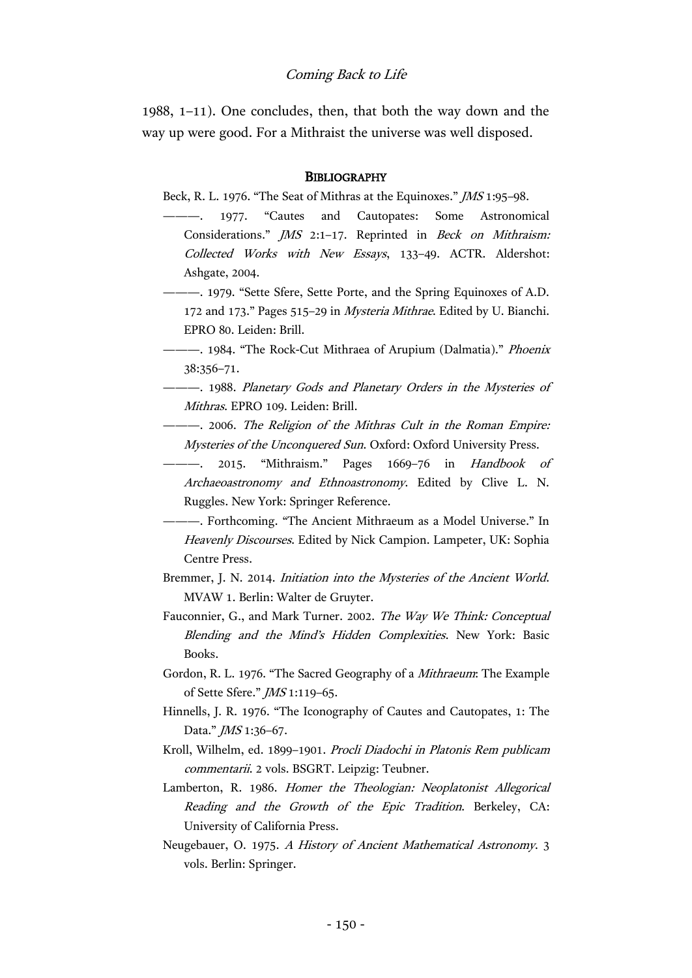1988, 1–11). One concludes, then, that both the way down and the way up were good. For a Mithraist the universe was well disposed.

#### **BIBLIOGRAPHY**

Beck, R. L. 1976. "The Seat of Mithras at the Equinoxes." JMS 1:95–98.

- 1977. "Cautes and Cautopates: Some Astronomical Considerations." JMS 2:1–17. Reprinted in Beck on Mithraism: Collected Works with New Essays, 133–49. ACTR. Aldershot: Ashgate, 2004.
- ———. 1979. "Sette Sfere, Sette Porte, and the Spring Equinoxes of A.D. 172 and 173." Pages 515–29 in Mysteria Mithrae. Edited by U. Bianchi. EPRO 80. Leiden: Brill.
- -- 1984. "The Rock-Cut Mithraea of Arupium (Dalmatia)." Phoenix 38:356–71.
- ———. 1988. Planetary Gods and Planetary Orders in the Mysteries of Mithras. EPRO 109. Leiden: Brill.
- ———. 2006. The Religion of the Mithras Cult in the Roman Empire: Mysteries of the Unconquered Sun. Oxford: Oxford University Press.
- ———. 2015. "Mithraism." Pages 1669-76 in Handbook of Archaeoastronomy and Ethnoastronomy. Edited by Clive L. N. Ruggles. New York: Springer Reference.
- ———. Forthcoming. "The Ancient Mithraeum as a Model Universe." In Heavenly Discourses. Edited by Nick Campion. Lampeter, UK: Sophia Centre Press.
- Bremmer, J. N. 2014. Initiation into the Mysteries of the Ancient World. MVAW 1. Berlin: Walter de Gruyter.
- Fauconnier, G., and Mark Turner. 2002. The Way We Think: Conceptual Blending and the Mind's Hidden Complexities. New York: Basic Books.
- Gordon, R. L. 1976. "The Sacred Geography of a Mithraeum: The Example of Sette Sfere." JMS 1:119–65.
- Hinnells, J. R. 1976. "The Iconography of Cautes and Cautopates, 1: The Data." *JMS* 1:36-67.
- Kroll, Wilhelm, ed. 1899–1901. Procli Diadochi in Platonis Rem publicam commentarii. 2 vols. BSGRT. Leipzig: Teubner.
- Lamberton, R. 1986. Homer the Theologian: Neoplatonist Allegorical Reading and the Growth of the Epic Tradition. Berkeley, CA: University of California Press.
- Neugebauer, O. 1975. A History of Ancient Mathematical Astronomy. 3 vols. Berlin: Springer.